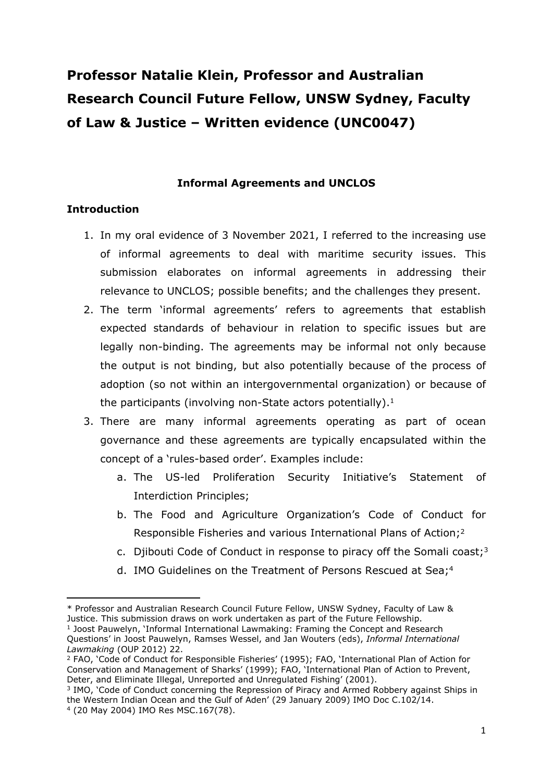# **Professor Natalie Klein, Professor and Australian Research Council Future Fellow, UNSW Sydney, Faculty of Law & Justice – Written evidence (UNC0047)**

## **Informal Agreements and UNCLOS**

# **Introduction**

- 1. In my oral evidence of 3 November 2021, I referred to the increasing use of informal agreements to deal with maritime security issues. This submission elaborates on informal agreements in addressing their relevance to UNCLOS; possible benefits; and the challenges they present.
- 2. The term 'informal agreements' refers to agreements that establish expected standards of behaviour in relation to specific issues but are legally non-binding. The agreements may be informal not only because the output is not binding, but also potentially because of the process of adoption (so not within an intergovernmental organization) or because of the participants (involving non-State actors potentially). $1$
- 3. There are many informal agreements operating as part of ocean governance and these agreements are typically encapsulated within the concept of a 'rules-based order'. Examples include:
	- a. The US-led Proliferation Security Initiative's Statement of Interdiction Principles;
	- b. The Food and Agriculture Organization's Code of Conduct for Responsible Fisheries and various International Plans of Action;<sup>2</sup>
	- c. Djibouti Code of Conduct in response to piracy off the Somali coast;<sup>3</sup>
	- d. IMO Guidelines on the Treatment of Persons Rescued at Sea;<sup>4</sup>

<sup>\*</sup> Professor and Australian Research Council Future Fellow, UNSW Sydney, Faculty of Law & Justice. This submission draws on work undertaken as part of the Future Fellowship. <sup>1</sup> Joost Pauwelyn, 'Informal International Lawmaking: Framing the Concept and Research

Questions' in Joost Pauwelyn, Ramses Wessel, and Jan Wouters (eds), *Informal International Lawmaking* (OUP 2012) 22.

<sup>2</sup> FAO, 'Code of Conduct for Responsible Fisheries' (1995); FAO, 'International Plan of Action for Conservation and Management of Sharks' (1999); FAO, 'International Plan of Action to Prevent, Deter, and Eliminate Illegal, Unreported and Unregulated Fishing' (2001).

<sup>&</sup>lt;sup>3</sup> IMO, 'Code of Conduct concerning the Repression of Piracy and Armed Robbery against Ships in the Western Indian Ocean and the Gulf of Aden' (29 January 2009) IMO Doc C.102/14. <sup>4</sup> (20 May 2004) IMO Res MSC.167(78).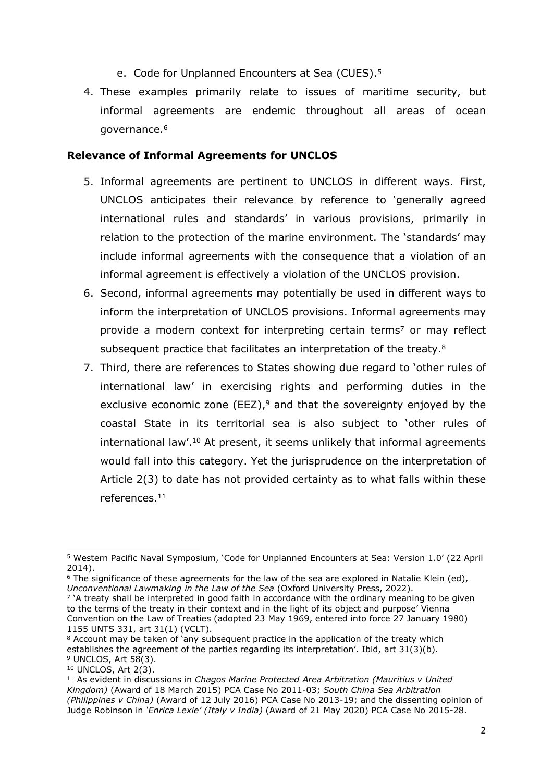- e. Code for Unplanned Encounters at Sea (CUES).<sup>5</sup>
- 4. These examples primarily relate to issues of maritime security, but informal agreements are endemic throughout all areas of ocean governance.<sup>6</sup>

## **Relevance of Informal Agreements for UNCLOS**

- 5. Informal agreements are pertinent to UNCLOS in different ways. First, UNCLOS anticipates their relevance by reference to 'generally agreed international rules and standards' in various provisions, primarily in relation to the protection of the marine environment. The 'standards' may include informal agreements with the consequence that a violation of an informal agreement is effectively a violation of the UNCLOS provision.
- 6. Second, informal agreements may potentially be used in different ways to inform the interpretation of UNCLOS provisions. Informal agreements may provide a modern context for interpreting certain terms<sup>7</sup> or may reflect subsequent practice that facilitates an interpretation of the treaty.<sup>8</sup>
- 7. Third, there are references to States showing due regard to 'other rules of international law' in exercising rights and performing duties in the exclusive economic zone (EEZ), $9$  and that the sovereignty enjoyed by the coastal State in its territorial sea is also subject to 'other rules of international law'.<sup>10</sup> At present, it seems unlikely that informal agreements would fall into this category. Yet the jurisprudence on the interpretation of Article 2(3) to date has not provided certainty as to what falls within these references.<sup>11</sup>

<sup>5</sup> Western Pacific Naval Symposium, 'Code for Unplanned Encounters at Sea: Version 1.0' (22 April 2014).

 $6$  The significance of these agreements for the law of the sea are explored in Natalie Klein (ed), *Unconventional Lawmaking in the Law of the Sea* (Oxford University Press, 2022).

<sup>7</sup> 'A treaty shall be interpreted in good faith in accordance with the ordinary meaning to be given to the terms of the treaty in their context and in the light of its object and purpose' Vienna Convention on the Law of Treaties (adopted 23 May 1969, entered into force 27 January 1980) 1155 UNTS 331, art 31(1) (VCLT).

<sup>8</sup> Account may be taken of 'any subsequent practice in the application of the treaty which establishes the agreement of the parties regarding its interpretation'. Ibid, art 31(3)(b). <sup>9</sup> UNCLOS, Art 58(3).

<sup>10</sup> UNCLOS, Art 2(3).

<sup>11</sup> As evident in discussions in *Chagos Marine Protected Area Arbitration (Mauritius v United Kingdom)* (Award of 18 March 2015) PCA Case No 2011-03; *South China Sea Arbitration (Philippines v China)* (Award of 12 July 2016) PCA Case No 2013-19; and the dissenting opinion of Judge Robinson in *'Enrica Lexie' (Italy v India)* (Award of 21 May 2020) PCA Case No 2015-28.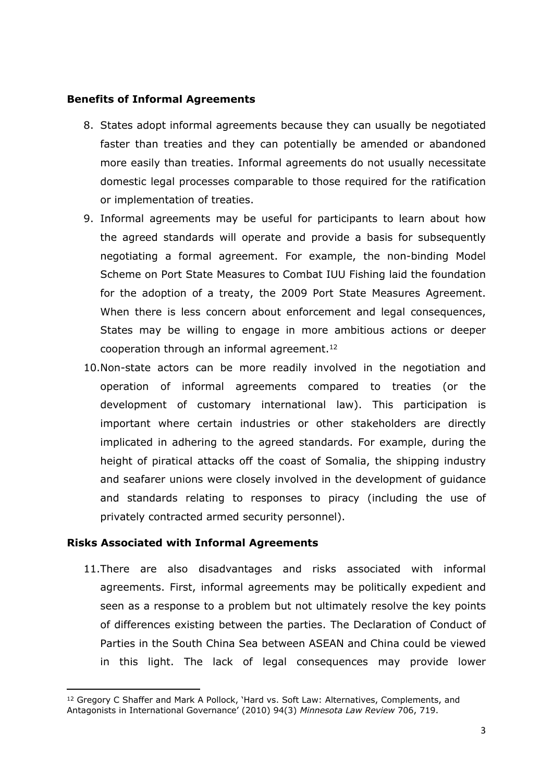#### **Benefits of Informal Agreements**

- 8. States adopt informal agreements because they can usually be negotiated faster than treaties and they can potentially be amended or abandoned more easily than treaties. Informal agreements do not usually necessitate domestic legal processes comparable to those required for the ratification or implementation of treaties.
- 9. Informal agreements may be useful for participants to learn about how the agreed standards will operate and provide a basis for subsequently negotiating a formal agreement. For example, the non-binding Model Scheme on Port State Measures to Combat IUU Fishing laid the foundation for the adoption of a treaty, the 2009 Port State Measures Agreement. When there is less concern about enforcement and legal consequences, States may be willing to engage in more ambitious actions or deeper cooperation through an informal agreement.<sup>12</sup>
- 10.Non-state actors can be more readily involved in the negotiation and operation of informal agreements compared to treaties (or the development of customary international law). This participation is important where certain industries or other stakeholders are directly implicated in adhering to the agreed standards. For example, during the height of piratical attacks off the coast of Somalia, the shipping industry and seafarer unions were closely involved in the development of guidance and standards relating to responses to piracy (including the use of privately contracted armed security personnel).

#### **Risks Associated with Informal Agreements**

11.There are also disadvantages and risks associated with informal agreements. First, informal agreements may be politically expedient and seen as a response to a problem but not ultimately resolve the key points of differences existing between the parties. The Declaration of Conduct of Parties in the South China Sea between ASEAN and China could be viewed in this light. The lack of legal consequences may provide lower

<sup>&</sup>lt;sup>12</sup> Gregory C Shaffer and Mark A Pollock, 'Hard vs. Soft Law: Alternatives, Complements, and Antagonists in International Governance' (2010) 94(3) *Minnesota Law Review* 706, 719.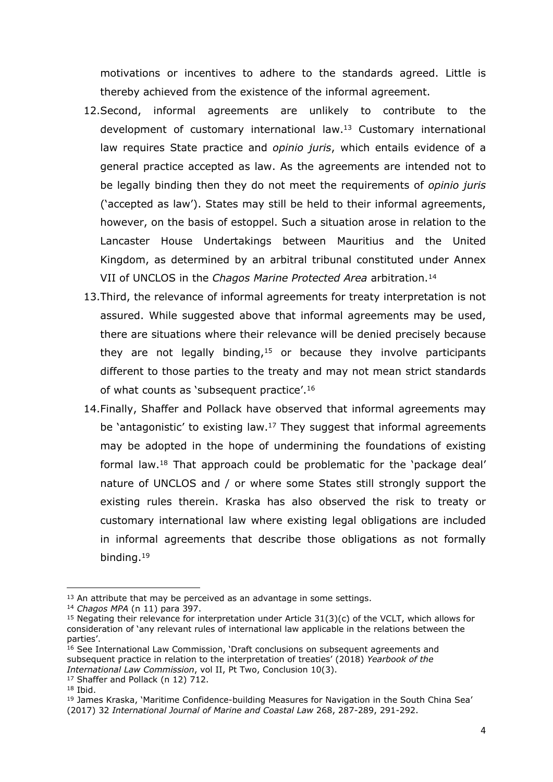motivations or incentives to adhere to the standards agreed. Little is thereby achieved from the existence of the informal agreement.

- 12.Second, informal agreements are unlikely to contribute to the development of customary international law.<sup>13</sup> Customary international law requires State practice and *opinio juris*, which entails evidence of a general practice accepted as law. As the agreements are intended not to be legally binding then they do not meet the requirements of *opinio juris* ('accepted as law'). States may still be held to their informal agreements, however, on the basis of estoppel. Such a situation arose in relation to the Lancaster House Undertakings between Mauritius and the United Kingdom, as determined by an arbitral tribunal constituted under Annex VII of UNCLOS in the *Chagos Marine Protected Area* arbitration.<sup>14</sup>
- 13.Third, the relevance of informal agreements for treaty interpretation is not assured. While suggested above that informal agreements may be used, there are situations where their relevance will be denied precisely because they are not legally binding, $15$  or because they involve participants different to those parties to the treaty and may not mean strict standards of what counts as 'subsequent practice'.<sup>16</sup>
- 14.Finally, Shaffer and Pollack have observed that informal agreements may be 'antagonistic' to existing law.<sup>17</sup> They suggest that informal agreements may be adopted in the hope of undermining the foundations of existing formal law.<sup>18</sup> That approach could be problematic for the 'package deal' nature of UNCLOS and / or where some States still strongly support the existing rules therein. Kraska has also observed the risk to treaty or customary international law where existing legal obligations are included in informal agreements that describe those obligations as not formally binding.<sup>19</sup>

 $13$  An attribute that may be perceived as an advantage in some settings.

<sup>14</sup> *Chagos MPA* (n 11) para 397.

<sup>&</sup>lt;sup>15</sup> Negating their relevance for interpretation under Article  $31(3)(c)$  of the VCLT, which allows for consideration of 'any relevant rules of international law applicable in the relations between the parties'.

<sup>16</sup> See International Law Commission, 'Draft conclusions on subsequent agreements and subsequent practice in relation to the interpretation of treaties' (2018) *Yearbook of the International Law Commission*, vol II, Pt Two, Conclusion 10(3).

<sup>17</sup> Shaffer and Pollack (n 12) 712.

<sup>18</sup> Ibid.

<sup>&</sup>lt;sup>19</sup> James Kraska, 'Maritime Confidence-building Measures for Navigation in the South China Sea' (2017) 32 *International Journal of Marine and Coastal Law* 268, 287-289, 291-292.